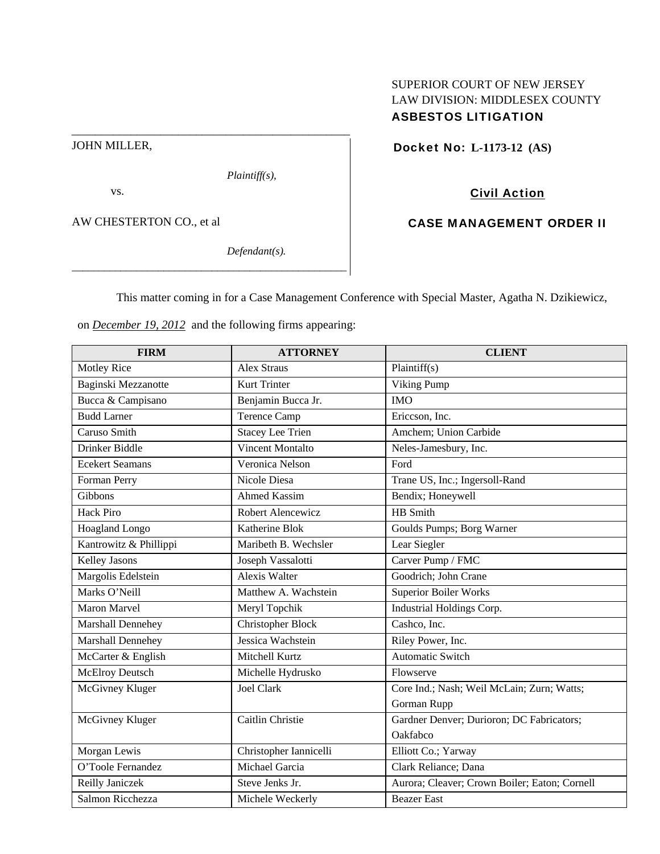# SUPERIOR COURT OF NEW JERSEY LAW DIVISION: MIDDLESEX COUNTY ASBESTOS LITIGATION

JOHN MILLER,

*Plaintiff(s),* 

vs.

AW CHESTERTON CO., et al

*Defendant(s).* 

Docket No: **L-1173-12 (AS)** 

# Civil Action

# CASE MANAGEMENT ORDER II

This matter coming in for a Case Management Conference with Special Master, Agatha N. Dzikiewicz,

on *December 19, 2012* and the following firms appearing:

\_\_\_\_\_\_\_\_\_\_\_\_\_\_\_\_\_\_\_\_\_\_\_\_\_\_\_\_\_\_\_\_\_\_\_\_\_\_\_\_\_\_\_\_\_\_\_\_\_\_\_

\_\_\_\_\_\_\_\_\_\_\_\_\_\_\_\_\_\_\_\_\_\_\_\_\_\_\_\_\_\_\_\_\_\_\_\_\_\_\_\_\_\_\_\_\_\_\_

| <b>FIRM</b>            | <b>ATTORNEY</b>          | <b>CLIENT</b>                                 |
|------------------------|--------------------------|-----------------------------------------------|
| <b>Motley Rice</b>     | <b>Alex Straus</b>       | Plaintiff(s)                                  |
| Baginski Mezzanotte    | <b>Kurt Trinter</b>      | Viking Pump                                   |
| Bucca & Campisano      | Benjamin Bucca Jr.       | <b>IMO</b>                                    |
| <b>Budd Larner</b>     | <b>Terence Camp</b>      | Ericcson, Inc.                                |
| Caruso Smith           | <b>Stacey Lee Trien</b>  | Amchem; Union Carbide                         |
| Drinker Biddle         | <b>Vincent Montalto</b>  | Neles-Jamesbury, Inc.                         |
| <b>Ecekert Seamans</b> | Veronica Nelson          | Ford                                          |
| Forman Perry           | Nicole Diesa             | Trane US, Inc.; Ingersoll-Rand                |
| Gibbons                | <b>Ahmed Kassim</b>      | Bendix; Honeywell                             |
| <b>Hack Piro</b>       | Robert Alencewicz        | <b>HB</b> Smith                               |
| Hoagland Longo         | Katherine Blok           | Goulds Pumps; Borg Warner                     |
| Kantrowitz & Phillippi | Maribeth B. Wechsler     | Lear Siegler                                  |
| <b>Kelley Jasons</b>   | Joseph Vassalotti        | Carver Pump / FMC                             |
| Margolis Edelstein     | <b>Alexis Walter</b>     | Goodrich; John Crane                          |
| Marks O'Neill          | Matthew A. Wachstein     | <b>Superior Boiler Works</b>                  |
| Maron Marvel           | Meryl Topchik            | Industrial Holdings Corp.                     |
| Marshall Dennehey      | <b>Christopher Block</b> | Cashco, Inc.                                  |
| Marshall Dennehey      | Jessica Wachstein        | Riley Power, Inc.                             |
| McCarter & English     | Mitchell Kurtz           | <b>Automatic Switch</b>                       |
| McElroy Deutsch        | Michelle Hydrusko        | Flowserve                                     |
| McGivney Kluger        | <b>Joel Clark</b>        | Core Ind.; Nash; Weil McLain; Zurn; Watts;    |
|                        |                          | Gorman Rupp                                   |
| McGivney Kluger        | Caitlin Christie         | Gardner Denver; Durioron; DC Fabricators;     |
|                        |                          | Oakfabco                                      |
| Morgan Lewis           | Christopher Iannicelli   | Elliott Co.; Yarway                           |
| O'Toole Fernandez      | Michael Garcia           | Clark Reliance; Dana                          |
| Reilly Janiczek        | Steve Jenks Jr.          | Aurora; Cleaver; Crown Boiler; Eaton; Cornell |
| Salmon Ricchezza       | Michele Weckerly         | <b>Beazer East</b>                            |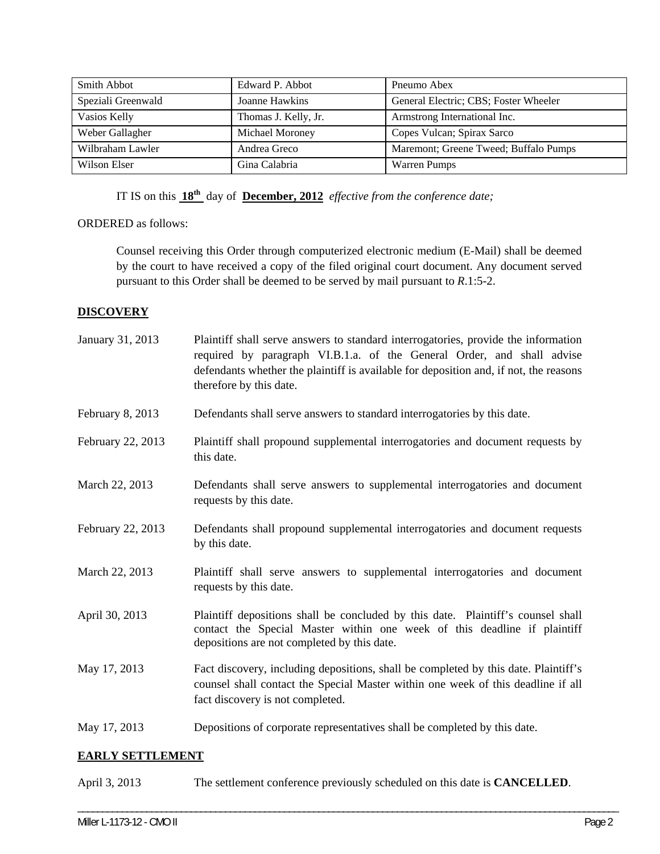| Smith Abbot        | Edward P. Abbot      | Pneumo Abex                           |
|--------------------|----------------------|---------------------------------------|
| Speziali Greenwald | Joanne Hawkins       | General Electric; CBS; Foster Wheeler |
| Vasios Kelly       | Thomas J. Kelly, Jr. | Armstrong International Inc.          |
| Weber Gallagher    | Michael Moroney      | Copes Vulcan; Spirax Sarco            |
| Wilbraham Lawler   | Andrea Greco         | Maremont; Greene Tweed; Buffalo Pumps |
| Wilson Elser       | Gina Calabria        | <b>Warren Pumps</b>                   |

IT IS on this **18th** day of **December, 2012** *effective from the conference date;*

### ORDERED as follows:

Counsel receiving this Order through computerized electronic medium (E-Mail) shall be deemed by the court to have received a copy of the filed original court document. Any document served pursuant to this Order shall be deemed to be served by mail pursuant to *R*.1:5-2.

### **DISCOVERY**

| January 31, 2013  | Plaintiff shall serve answers to standard interrogatories, provide the information<br>required by paragraph VI.B.1.a. of the General Order, and shall advise<br>defendants whether the plaintiff is available for deposition and, if not, the reasons<br>therefore by this date. |
|-------------------|----------------------------------------------------------------------------------------------------------------------------------------------------------------------------------------------------------------------------------------------------------------------------------|
| February 8, 2013  | Defendants shall serve answers to standard interrogatories by this date.                                                                                                                                                                                                         |
| February 22, 2013 | Plaintiff shall propound supplemental interrogatories and document requests by<br>this date.                                                                                                                                                                                     |
| March 22, 2013    | Defendants shall serve answers to supplemental interrogatories and document<br>requests by this date.                                                                                                                                                                            |
| February 22, 2013 | Defendants shall propound supplemental interrogatories and document requests<br>by this date.                                                                                                                                                                                    |
| March 22, 2013    | Plaintiff shall serve answers to supplemental interrogatories and document<br>requests by this date.                                                                                                                                                                             |
| April 30, 2013    | Plaintiff depositions shall be concluded by this date. Plaintiff's counsel shall<br>contact the Special Master within one week of this deadline if plaintiff<br>depositions are not completed by this date.                                                                      |
| May 17, 2013      | Fact discovery, including depositions, shall be completed by this date. Plaintiff's<br>counsel shall contact the Special Master within one week of this deadline if all<br>fact discovery is not completed.                                                                      |
| May 17, 2013      | Depositions of corporate representatives shall be completed by this date.                                                                                                                                                                                                        |

#### **EARLY SETTLEMENT**

| April 3, 2013 | The settlement conference previously scheduled on this date is <b>CANCELLED</b> . |
|---------------|-----------------------------------------------------------------------------------|
|---------------|-----------------------------------------------------------------------------------|

\_\_\_\_\_\_\_\_\_\_\_\_\_\_\_\_\_\_\_\_\_\_\_\_\_\_\_\_\_\_\_\_\_\_\_\_\_\_\_\_\_\_\_\_\_\_\_\_\_\_\_\_\_\_\_\_\_\_\_\_\_\_\_\_\_\_\_\_\_\_\_\_\_\_\_\_\_\_\_\_\_\_\_\_\_\_\_\_\_\_\_\_\_\_\_\_\_\_\_\_\_\_\_\_\_\_\_\_\_\_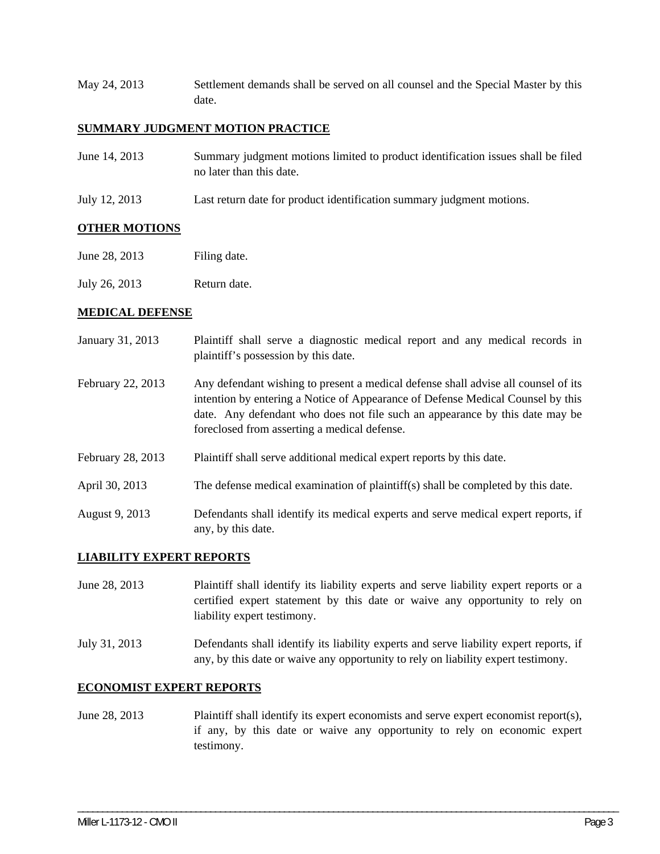May 24, 2013 Settlement demands shall be served on all counsel and the Special Master by this date.

### **SUMMARY JUDGMENT MOTION PRACTICE**

| June 14, 2013 | Summary judgment motions limited to product identification issues shall be filed |
|---------------|----------------------------------------------------------------------------------|
|               | no later than this date.                                                         |
|               |                                                                                  |

July 12, 2013 Last return date for product identification summary judgment motions.

### **OTHER MOTIONS**

- June 28, 2013 Filing date.
- July 26, 2013 Return date.

#### **MEDICAL DEFENSE**

| January 31, 2013  | Plaintiff shall serve a diagnostic medical report and any medical records in<br>plaintiff's possession by this date.                                                                                                                                                                                  |
|-------------------|-------------------------------------------------------------------------------------------------------------------------------------------------------------------------------------------------------------------------------------------------------------------------------------------------------|
| February 22, 2013 | Any defendant wishing to present a medical defense shall advise all counsel of its<br>intention by entering a Notice of Appearance of Defense Medical Counsel by this<br>date. Any defendant who does not file such an appearance by this date may be<br>foreclosed from asserting a medical defense. |
| February 28, 2013 | Plaintiff shall serve additional medical expert reports by this date.                                                                                                                                                                                                                                 |
| April 30, 2013    | The defense medical examination of plaintiff(s) shall be completed by this date.                                                                                                                                                                                                                      |
| August 9, 2013    | Defendants shall identify its medical experts and serve medical expert reports, if<br>any, by this date.                                                                                                                                                                                              |

#### **LIABILITY EXPERT REPORTS**

June 28, 2013 Plaintiff shall identify its liability experts and serve liability expert reports or a certified expert statement by this date or waive any opportunity to rely on liability expert testimony.

July 31, 2013 Defendants shall identify its liability experts and serve liability expert reports, if any, by this date or waive any opportunity to rely on liability expert testimony.

## **ECONOMIST EXPERT REPORTS**

June 28, 2013 Plaintiff shall identify its expert economists and serve expert economist report(s), if any, by this date or waive any opportunity to rely on economic expert testimony.

\_\_\_\_\_\_\_\_\_\_\_\_\_\_\_\_\_\_\_\_\_\_\_\_\_\_\_\_\_\_\_\_\_\_\_\_\_\_\_\_\_\_\_\_\_\_\_\_\_\_\_\_\_\_\_\_\_\_\_\_\_\_\_\_\_\_\_\_\_\_\_\_\_\_\_\_\_\_\_\_\_\_\_\_\_\_\_\_\_\_\_\_\_\_\_\_\_\_\_\_\_\_\_\_\_\_\_\_\_\_